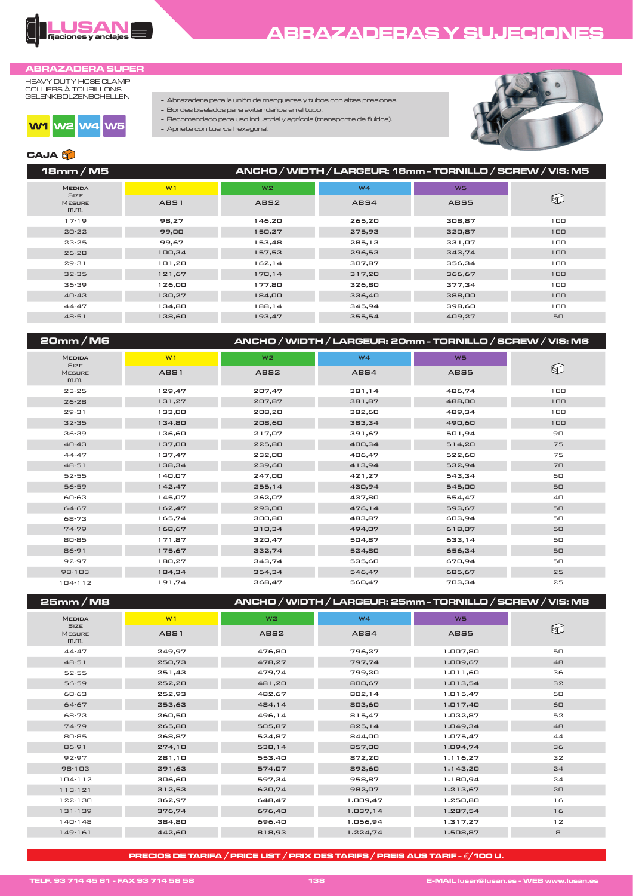

## **ABRAZADERAS Y SUJECIONES**

### **ABRAZADERA SUPER**

HEAVY DUTY HOSE CLAMP<br>COLLIERS À TOURILLONS<br>GELENKBOLZENSCHELLEN



- Abrazadera para la unión de mangueras y tubos con altas presiones. - Bordes biselados para evitar daños en el tubo.

- Recomendado para uso industrial y agrícola (transporte de fluídos).

- Apriete con tuerca hexagonal.



## **CAJA**

| 18mm/M5                              |        | ANCHO / WIDTH / LARGEUR: 18mm - TORNILLO / SCREW / VIS: M5 |        |                |            |  |
|--------------------------------------|--------|------------------------------------------------------------|--------|----------------|------------|--|
| <b>MEDIDA</b>                        | W1     | W <sub>2</sub>                                             | W4     | W <sub>5</sub> |            |  |
| <b>SIZE</b><br><b>MESURE</b><br>m.m. | AB51   | ABS <sub>2</sub>                                           | AB54   | ABS5           | $\bigcirc$ |  |
| $17-19$                              | 98,27  | 146,20                                                     | 265,20 | 308,87         | 100        |  |
| $20 - 22$                            | 99,00  | 150,27                                                     | 275,93 | 320,87         | 100        |  |
| $23 - 25$                            | 99,67  | 153,48                                                     | 285,13 | 331,07         | 100        |  |
| $26 - 28$                            | 100,34 | 157,53                                                     | 296,53 | 343,74         | 100        |  |
| $29 - 31$                            | 101,20 | 162,14                                                     | 307,87 | 356,34         | 100        |  |
| $32 - 35$                            | 121,67 | 170, 14                                                    | 317,20 | 366,67         | 100        |  |
| 36-39                                | 126,00 | 177,80                                                     | 326,80 | 377,34         | 100        |  |
| $40 - 43$                            | 130,27 | 184,00                                                     | 336,40 | 388,00         | 100        |  |
| $44 - 47$                            | 134,80 | 188,14                                                     | 345,94 | 398,60         | 100        |  |
| $48 - 51$                            | 138,60 | 193,47                                                     | 355,54 | 409,27         | 50         |  |
|                                      |        |                                                            |        |                |            |  |

| 20mm/M6                              |             |                  | ANCHO / WIDTH / LARGEUR: 20mm - TORNILLO / SCREW / VIS: M6 |           |     |
|--------------------------------------|-------------|------------------|------------------------------------------------------------|-----------|-----|
| <b>MEDIDA</b>                        | W1          | W <sub>2</sub>   | W4                                                         | <b>W5</b> |     |
| <b>SIZE</b><br><b>MESURE</b><br>m.m. | <b>ABS1</b> | ABS <sub>2</sub> | AB54                                                       | ABS5      | 62  |
| $23 - 25$                            | 129,47      | 207,47           | 381,14                                                     | 486,74    | 100 |
| $26 - 28$                            | 131,27      | 207,87           | 381,87                                                     | 488,00    | 100 |
| $29 - 31$                            | 133,00      | 208,20           | 382,60                                                     | 489,34    | 100 |
| $32 - 35$                            | 134,80      | 208,60           | 383,34                                                     | 490,60    | 100 |
| 36-39                                | 136,60      | 217,07           | 391,67                                                     | 501,94    | 90  |
| $40 - 43$                            | 137,00      | 225,80           | 400,34                                                     | 514,20    | 75  |
| $44 - 47$                            | 137,47      | 232,00           | 406,47                                                     | 522,60    | 75  |
| $48 - 51$                            | 138,34      | 239,60           | 413,94                                                     | 532,94    | 70  |
| 52-55                                | 140,07      | 247,00           | 421,27                                                     | 543,34    | 60  |
| 56-59                                | 142,47      | 255,14           | 430,94                                                     | 545,00    | 50  |
| 60-63                                | 145,07      | 262,07           | 437,80                                                     | 554,47    | 40  |
| 64-67                                | 162,47      | 293,00           | 476,14                                                     | 593,67    | 50  |
| 68-73                                | 165,74      | 300,80           | 483,87                                                     | 603,94    | 50  |
| $74 - 79$                            | 168,67      | 310,34           | 494,07                                                     | 618,07    | 50  |
| 80-85                                | 171,87      | 320,47           | 504,87                                                     | 633,14    | 50  |
| 86-91                                | 175,67      | 332,74           | 524,80                                                     | 656,34    | 50  |
| 92-97                                | 180,27      | 343,74           | 535,60                                                     | 670,94    | 50  |
| $98-103$                             | 184,34      | 354,34           | 546,47                                                     | 685,67    | 25  |
| $104 - 112$                          | 191,74      | 368,47           | 560,47                                                     | 703,34    | 25  |

| 25mm/M8                              | ANCHO / WIDTH / LARGEUR: 25mm - TORNILLO / SCREW / VIS: M8 |                  |                |                |    |
|--------------------------------------|------------------------------------------------------------|------------------|----------------|----------------|----|
| <b>MEDIDA</b>                        | W1                                                         | W <sub>2</sub>   | W <sub>4</sub> | W <sub>5</sub> |    |
| <b>SIZE</b><br><b>MESURE</b><br>m.m. | AB51                                                       | ABS <sub>2</sub> | ABS4           | ABS5           | 62 |
| $44 - 47$                            | 249,97                                                     | 476,80           | 796,27         | 1.007,80       | 50 |
| $48 - 51$                            | 250,73                                                     | 478,27           | 797,74         | 1.009,67       | 48 |
| 52-55                                | 251,43                                                     | 479,74           | 799,20         | 1.011,60       | 36 |
| 56-59                                | 252,20                                                     | 481,20           | 800,67         | 1.013,54       | 32 |
| 60-63                                | 252,93                                                     | 482,67           | 802,14         | 1.015,47       | 60 |
| 64-67                                | 253,63                                                     | 484,14           | 803,60         | 1.017,40       | 60 |
| 68-73                                | 260,50                                                     | 496,14           | 815,47         | 1.032,87       | 52 |
| $74 - 79$                            | 265,80                                                     | 505,87           | 825,14         | 1.049,34       | 48 |
| 80-85                                | 268,87                                                     | 524,87           | 844,00         | 1.075,47       | 44 |
| 86-91                                | 274,10                                                     | 538,14           | 857,00         | 1.094,74       | 36 |
| 92-97                                | 281,10                                                     | 553,40           | 872,20         | 1.116,27       | 32 |
| $98-103$                             | 291,63                                                     | 574,07           | 892,60         | 1.143,20       | 24 |
| $104 - 112$                          | 306,60                                                     | 597,34           | 958,87         | 1.180,94       | 24 |
| $113 - 121$                          | 312,53                                                     | 620,74           | 982,07         | 1.213,67       | 20 |
| 122-130                              | 362,97                                                     | 648,47           | 1.009,47       | 1.250,80       | 16 |
| 131-139                              | 376,74                                                     | 676,40           | 1.037, 14      | 1.287,54       | 16 |
| $140-148$                            | 384,80                                                     | 696,40           | 1.056,94       | 1.317,27       | 12 |
| 149-161                              | 442,60                                                     | 818,93           | 1.224,74       | 1.508,87       | 8  |
|                                      |                                                            |                  |                |                |    |

PRECIOS DE TARIFA / PRICE LIST / PRIX DES TARIFS / PREIS AUS TARIF -  $\epsilon$  / 100 U.